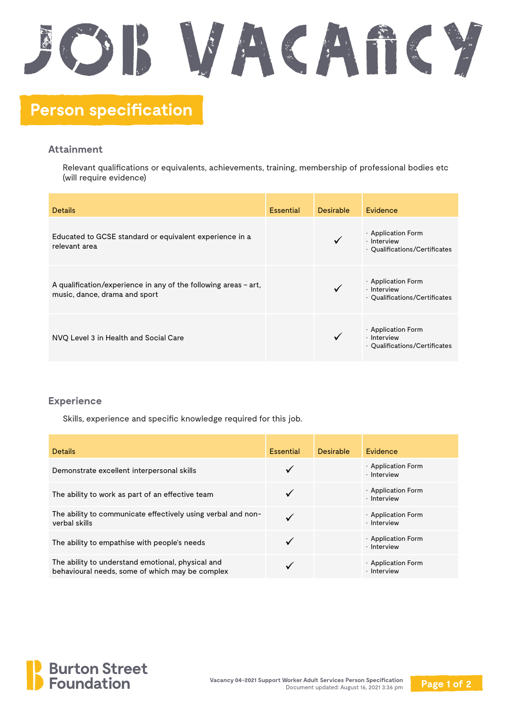## SWACAfiCY **Person specification**

## **Attainment**

Relevant qualifications or equivalents, achievements, training, membership of professional bodies etc (will require evidence)

| <b>Details</b>                                                                                     | <b>Essential</b> | <b>Desirable</b> | Evidence                                                                 |
|----------------------------------------------------------------------------------------------------|------------------|------------------|--------------------------------------------------------------------------|
| Educated to GCSE standard or equivalent experience in a<br>relevant area                           |                  |                  | $\cdot$ Application Form<br>· Interview<br>· Qualifications/Certificates |
| A qualification/experience in any of the following areas $-$ art,<br>music, dance, drama and sport |                  |                  | $\cdot$ Application Form<br>· Interview<br>• Qualifications/Certificates |
| NVQ Level 3 in Health and Social Care                                                              |                  |                  | $\cdot$ Application Form<br>· Interview<br>· Qualifications/Certificates |

## **Experience**

Skills, experience and specific knowledge required for this job.

| <b>Details</b>                                                                                       | <b>Essential</b> | Desirable | Evidence                                      |
|------------------------------------------------------------------------------------------------------|------------------|-----------|-----------------------------------------------|
| Demonstrate excellent interpersonal skills                                                           |                  |           | $\cdot$ Application Form<br>$\cdot$ Interview |
| The ability to work as part of an effective team                                                     |                  |           | $\cdot$ Application Form<br>$\cdot$ Interview |
| The ability to communicate effectively using verbal and non-<br>verbal skills                        | $\checkmark$     |           | $\cdot$ Application Form<br>· Interview       |
| The ability to empathise with people's needs                                                         |                  |           | $\cdot$ Application Form<br>$\cdot$ Interview |
| The ability to understand emotional, physical and<br>behavioural needs, some of which may be complex |                  |           | $\cdot$ Application Form<br>$\cdot$ Interview |